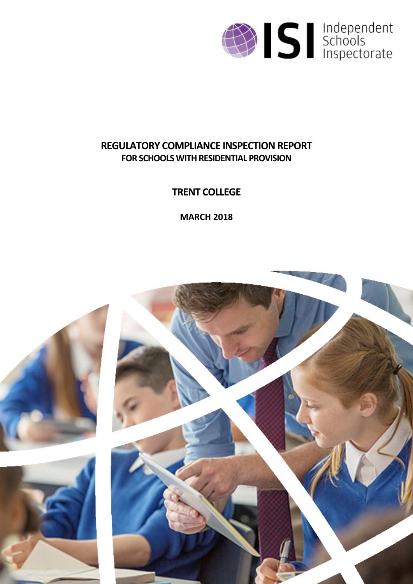

# **REGULATORY COMPLIANCE INSPECTION REPORT FOR SCHOOLS WITH RESIDENTIAL PROVISION**

# **TRENT COLLEGE**

**MARCH 2018**

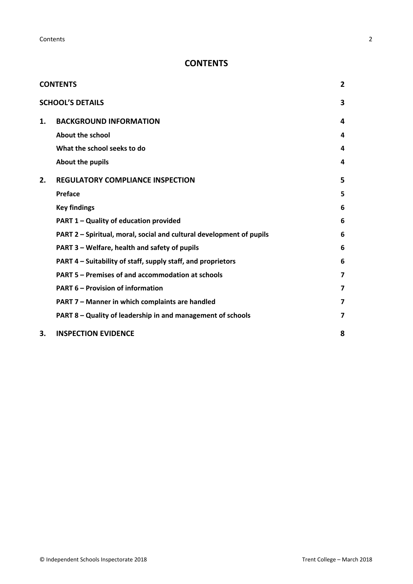# <span id="page-1-0"></span>**CONTENTS**

|    | <b>CONTENTS</b>                                                      | $\overline{2}$ |
|----|----------------------------------------------------------------------|----------------|
|    | <b>SCHOOL'S DETAILS</b>                                              | 3              |
| 1. | <b>BACKGROUND INFORMATION</b>                                        | 4              |
|    | <b>About the school</b>                                              | 4              |
|    | What the school seeks to do                                          | 4              |
|    | About the pupils                                                     | 4              |
| 2. | <b>REGULATORY COMPLIANCE INSPECTION</b>                              | 5              |
|    | <b>Preface</b>                                                       | 5              |
|    | <b>Key findings</b>                                                  | 6              |
|    | PART 1 - Quality of education provided                               | 6              |
|    | PART 2 - Spiritual, moral, social and cultural development of pupils | 6              |
|    | PART 3 - Welfare, health and safety of pupils                        | 6              |
|    | PART 4 – Suitability of staff, supply staff, and proprietors         | 6              |
|    | PART 5 - Premises of and accommodation at schools                    | 7              |
|    | <b>PART 6 - Provision of information</b>                             | 7              |
|    | PART 7 - Manner in which complaints are handled                      | 7              |
|    | PART 8 – Quality of leadership in and management of schools          | 7              |
| 3. | <b>INSPECTION EVIDENCE</b>                                           | 8              |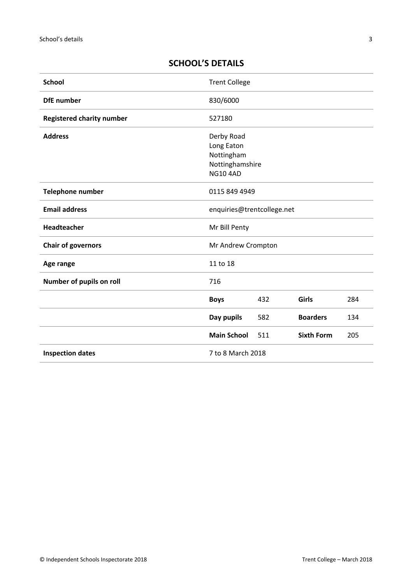# <span id="page-2-0"></span>**SCHOOL'S DETAILS**

| <b>School</b>                    | <b>Trent College</b>                                                         |     |                   |     |
|----------------------------------|------------------------------------------------------------------------------|-----|-------------------|-----|
| <b>DfE</b> number                | 830/6000                                                                     |     |                   |     |
| <b>Registered charity number</b> | 527180                                                                       |     |                   |     |
| <b>Address</b>                   | Derby Road<br>Long Eaton<br>Nottingham<br>Nottinghamshire<br><b>NG10 4AD</b> |     |                   |     |
| <b>Telephone number</b>          | 0115 849 4949                                                                |     |                   |     |
| <b>Email address</b>             | enquiries@trentcollege.net                                                   |     |                   |     |
| Headteacher                      | Mr Bill Penty                                                                |     |                   |     |
| <b>Chair of governors</b>        | Mr Andrew Crompton                                                           |     |                   |     |
| Age range                        | 11 to 18                                                                     |     |                   |     |
| Number of pupils on roll         | 716                                                                          |     |                   |     |
|                                  | <b>Boys</b>                                                                  | 432 | Girls             | 284 |
|                                  | Day pupils                                                                   | 582 | <b>Boarders</b>   | 134 |
|                                  | <b>Main School</b>                                                           | 511 | <b>Sixth Form</b> | 205 |
| <b>Inspection dates</b>          | 7 to 8 March 2018                                                            |     |                   |     |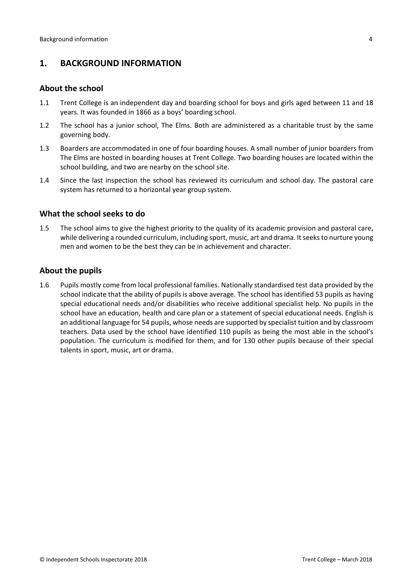### <span id="page-3-0"></span>**1. BACKGROUND INFORMATION**

#### <span id="page-3-1"></span>**About the school**

- 1.1 Trent College is an independent day and boarding school for boys and girls aged between 11 and 18 years. It was founded in 1866 as a boys' boarding school.
- 1.2 The school has a junior school, The Elms. Both are administered as a charitable trust by the same governing body.
- 1.3 Boarders are accommodated in one of four boarding houses. A small number of junior boarders from The Elms are hosted in boarding houses at Trent College. Two boarding houses are located within the school building, and two are nearby on the school site.
- 1.4 Since the last inspection the school has reviewed its curriculum and school day. The pastoral care system has returned to a horizontal year group system.

#### <span id="page-3-2"></span>**What the school seeks to do**

1.5 The school aims to give the highest priority to the quality of its academic provision and pastoral care, while delivering a rounded curriculum, including sport, music, art and drama. It seeks to nurture young men and women to be the best they can be in achievement and character.

#### <span id="page-3-3"></span>**About the pupils**

1.6 Pupils mostly come from local professional families. Nationally standardised test data provided by the school indicate that the ability of pupils is above average. The school has identified 53 pupils as having special educational needs and/or disabilities who receive additional specialist help. No pupils in the school have an education, health and care plan or a statement of special educational needs. English is an additional language for 54 pupils, whose needs are supported by specialist tuition and by classroom teachers. Data used by the school have identified 110 pupils as being the most able in the school's population. The curriculum is modified for them, and for 130 other pupils because of their special talents in sport, music, art or drama.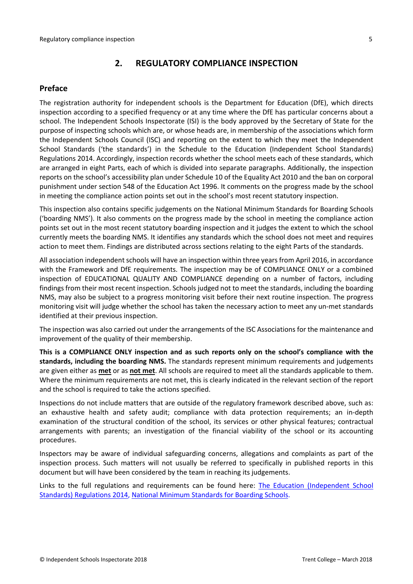## <span id="page-4-0"></span>**2. REGULATORY COMPLIANCE INSPECTION**

#### <span id="page-4-1"></span>**Preface**

The registration authority for independent schools is the Department for Education (DfE), which directs inspection according to a specified frequency or at any time where the DfE has particular concerns about a school. The Independent Schools Inspectorate (ISI) is the body approved by the Secretary of State for the purpose of inspecting schools which are, or whose heads are, in membership of the associations which form the Independent Schools Council (ISC) and reporting on the extent to which they meet the Independent School Standards ('the standards') in the Schedule to the Education (Independent School Standards) Regulations 2014. Accordingly, inspection records whether the school meets each of these standards, which are arranged in eight Parts, each of which is divided into separate paragraphs. Additionally, the inspection reports on the school's accessibility plan under Schedule 10 of the Equality Act 2010 and the ban on corporal punishment under section 548 of the Education Act 1996. It comments on the progress made by the school in meeting the compliance action points set out in the school's most recent statutory inspection.

This inspection also contains specific judgements on the National Minimum Standards for Boarding Schools ('boarding NMS'). It also comments on the progress made by the school in meeting the compliance action points set out in the most recent statutory boarding inspection and it judges the extent to which the school currently meets the boarding NMS. It identifies any standards which the school does not meet and requires action to meet them. Findings are distributed across sections relating to the eight Parts of the standards.

All association independent schools will have an inspection within three yearsfrom April 2016, in accordance with the Framework and DfE requirements. The inspection may be of COMPLIANCE ONLY or a combined inspection of EDUCATIONAL QUALITY AND COMPLIANCE depending on a number of factors, including findings from their most recent inspection. Schools judged not to meet the standards, including the boarding NMS, may also be subject to a progress monitoring visit before their next routine inspection. The progress monitoring visit will judge whether the school has taken the necessary action to meet any un-met standards identified at their previous inspection.

The inspection was also carried out under the arrangements of the ISC Associations for the maintenance and improvement of the quality of their membership.

**This is a COMPLIANCE ONLY inspection and as such reports only on the school's compliance with the standards, including the boarding NMS.** The standards represent minimum requirements and judgements are given either as **met** or as **not met**. All schools are required to meet all the standards applicable to them. Where the minimum requirements are not met, this is clearly indicated in the relevant section of the report and the school is required to take the actions specified.

Inspections do not include matters that are outside of the regulatory framework described above, such as: an exhaustive health and safety audit; compliance with data protection requirements; an in-depth examination of the structural condition of the school, its services or other physical features; contractual arrangements with parents; an investigation of the financial viability of the school or its accounting procedures.

Inspectors may be aware of individual safeguarding concerns, allegations and complaints as part of the inspection process. Such matters will not usually be referred to specifically in published reports in this document but will have been considered by the team in reaching its judgements.

Links to the full regulations and requirements can be found here: The Education [\(Independent](http://www.legislation.gov.uk/uksi/2014/3283/contents/made) School Standards) [Regulations](http://www.legislation.gov.uk/uksi/2014/3283/contents/made) 2014, National Minimum [Standards](https://www.gov.uk/government/uploads/system/uploads/attachment_data/file/416186/20150319_nms_bs_standards.pdf) for Boarding Schools.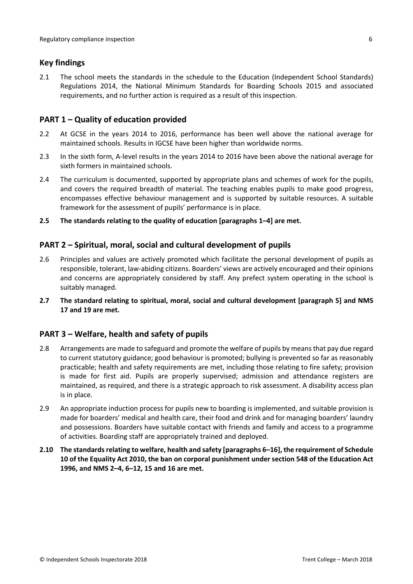#### <span id="page-5-0"></span>**Key findings**

2.1 The school meets the standards in the schedule to the Education (Independent School Standards) Regulations 2014, the National Minimum Standards for Boarding Schools 2015 and associated requirements, and no further action is required as a result of this inspection.

#### <span id="page-5-1"></span>**PART 1 – Quality of education provided**

- 2.2 At GCSE in the years 2014 to 2016, performance has been well above the national average for maintained schools. Results in IGCSE have been higher than worldwide norms.
- 2.3 In the sixth form, A-level results in the years 2014 to 2016 have been above the national average for sixth formers in maintained schools.
- 2.4 The curriculum is documented, supported by appropriate plans and schemes of work for the pupils, and covers the required breadth of material. The teaching enables pupils to make good progress, encompasses effective behaviour management and is supported by suitable resources. A suitable framework for the assessment of pupils' performance is in place.
- **2.5 The standards relating to the quality of education [paragraphs 1–4] are met.**

#### <span id="page-5-2"></span>**PART 2 – Spiritual, moral, social and cultural development of pupils**

- 2.6 Principles and values are actively promoted which facilitate the personal development of pupils as responsible, tolerant, law-abiding citizens. Boarders' views are actively encouraged and their opinions and concerns are appropriately considered by staff. Any prefect system operating in the school is suitably managed.
- **2.7 The standard relating to spiritual, moral, social and cultural development [paragraph 5] and NMS 17 and 19 are met.**

#### <span id="page-5-3"></span>**PART 3 – Welfare, health and safety of pupils**

- 2.8 Arrangements are made to safeguard and promote the welfare of pupils by means that pay due regard to current statutory guidance; good behaviour is promoted; bullying is prevented so far as reasonably practicable; health and safety requirements are met, including those relating to fire safety; provision is made for first aid. Pupils are properly supervised; admission and attendance registers are maintained, as required, and there is a strategic approach to risk assessment. A disability access plan is in place.
- 2.9 An appropriate induction process for pupils new to boarding is implemented, and suitable provision is made for boarders' medical and health care, their food and drink and for managing boarders' laundry and possessions. Boarders have suitable contact with friends and family and access to a programme of activities. Boarding staff are appropriately trained and deployed.
- <span id="page-5-4"></span>**2.10 The standardsrelating to welfare, health and safety [paragraphs 6–16], the requirement of Schedule 10 of the Equality Act 2010, the ban on corporal punishment under section 548 of the Education Act 1996, and NMS 2–4, 6–12, 15 and 16 are met.**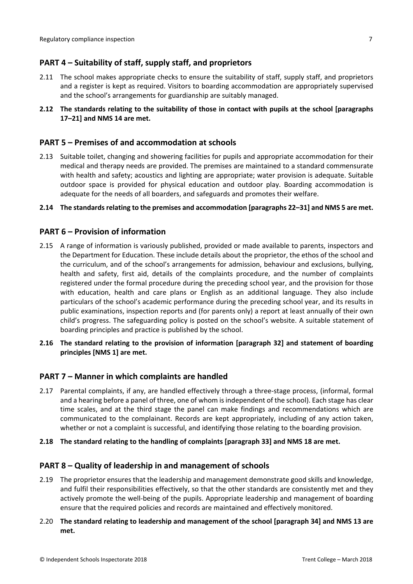## **PART 4 – Suitability of staff, supply staff, and proprietors**

- 2.11 The school makes appropriate checks to ensure the suitability of staff, supply staff, and proprietors and a register is kept as required. Visitors to boarding accommodation are appropriately supervised and the school's arrangements for guardianship are suitably managed.
- **2.12 The standards relating to the suitability of those in contact with pupils at the school [paragraphs 17–21] and NMS 14 are met.**

#### <span id="page-6-0"></span>**PART 5 – Premises of and accommodation at schools**

- 2.13 Suitable toilet, changing and showering facilities for pupils and appropriate accommodation for their medical and therapy needs are provided. The premises are maintained to a standard commensurate with health and safety; acoustics and lighting are appropriate; water provision is adequate. Suitable outdoor space is provided for physical education and outdoor play. Boarding accommodation is adequate for the needs of all boarders, and safeguards and promotes their welfare.
- **2.14 The standardsrelating to the premises and accommodation [paragraphs 22–31] and NMS 5 are met.**

#### <span id="page-6-1"></span>**PART 6 – Provision of information**

- 2.15 A range of information is variously published, provided or made available to parents, inspectors and the Department for Education. These include details about the proprietor, the ethos of the school and the curriculum, and of the school's arrangements for admission, behaviour and exclusions, bullying, health and safety, first aid, details of the complaints procedure, and the number of complaints registered under the formal procedure during the preceding school year, and the provision for those with education, health and care plans or English as an additional language. They also include particulars of the school's academic performance during the preceding school year, and its results in public examinations, inspection reports and (for parents only) a report at least annually of their own child's progress. The safeguarding policy is posted on the school's website. A suitable statement of boarding principles and practice is published by the school.
- **2.16 The standard relating to the provision of information [paragraph 32] and statement of boarding principles [NMS 1] are met.**

#### <span id="page-6-2"></span>**PART 7 – Manner in which complaints are handled**

- 2.17 Parental complaints, if any, are handled effectively through a three-stage process, (informal, formal and a hearing before a panel of three, one of whom isindependent of the school). Each stage has clear time scales, and at the third stage the panel can make findings and recommendations which are communicated to the complainant. Records are kept appropriately, including of any action taken, whether or not a complaint is successful, and identifying those relating to the boarding provision.
- **2.18 The standard relating to the handling of complaints [paragraph 33] and NMS 18 are met.**

#### <span id="page-6-3"></span>**PART 8 – Quality of leadership in and management of schools**

- 2.19 The proprietor ensures that the leadership and management demonstrate good skills and knowledge, and fulfil their responsibilities effectively, so that the other standards are consistently met and they actively promote the well-being of the pupils. Appropriate leadership and management of boarding ensure that the required policies and records are maintained and effectively monitored.
- 2.20 **The standard relating to leadership and management of the school [paragraph 34] and NMS 13 are met.**